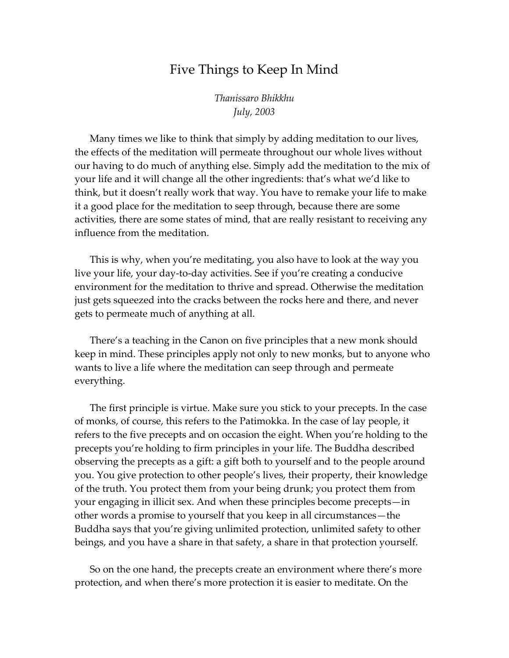## Five Things to Keep In Mind

*Thanissaro Bhikkhu July, 2003* 

Many times we like to think that simply by adding meditation to our lives, the effects of the meditation will permeate throughout our whole lives without our having to do much of anything else. Simply add the meditation to the mix of your life and it will change all the other ingredients: that's what we'd like to think, but it doesn't really work that way. You have to remake your life to make it a good place for the meditation to seep through, because there are some activities, there are some states of mind, that are really resistant to receiving any influence from the meditation.

This is why, when you're meditating, you also have to look at the way you live your life, your day-to-day activities. See if you're creating a conducive environment for the meditation to thrive and spread. Otherwise the meditation just gets squeezed into the cracks between the rocks here and there, and never gets to permeate much of anything at all.

There's a teaching in the Canon on five principles that a new monk should keep in mind. These principles apply not only to new monks, but to anyone who wants to live a life where the meditation can seep through and permeate everything.

The first principle is virtue. Make sure you stick to your precepts. In the case of monks, of course, this refers to the Patimokka. In the case of lay people, it refers to the five precepts and on occasion the eight. When you're holding to the precepts you're holding to firm principles in your life. The Buddha described observing the precepts as a gift: a gift both to yourself and to the people around you. You give protection to other people's lives, their property, their knowledge of the truth. You protect them from your being drunk; you protect them from your engaging in illicit sex. And when these principles become precepts—in other words a promise to yourself that you keep in all circumstances—the Buddha says that you're giving unlimited protection, unlimited safety to other beings, and you have a share in that safety, a share in that protection yourself.

So on the one hand, the precepts create an environment where there's more protection, and when there's more protection it is easier to meditate. On the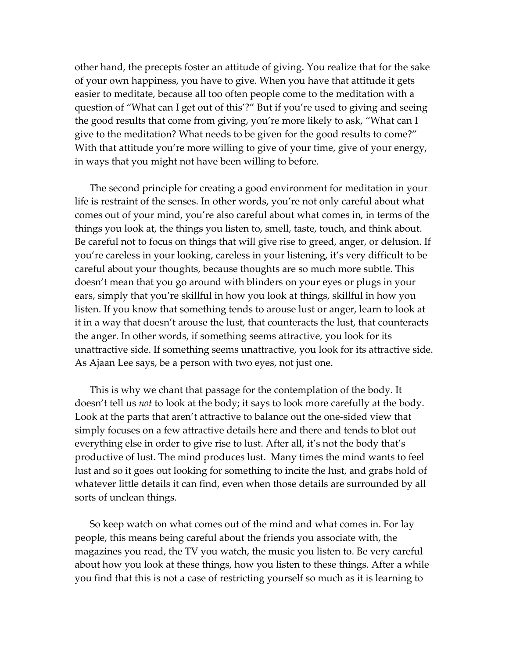other hand, the precepts foster an attitude of giving. You realize that for the sake of your own happiness, you have to give. When you have that attitude it gets easier to meditate, because all too often people come to the meditation with a question of "What can I get out of this'?" But if you're used to giving and seeing the good results that come from giving, you're more likely to ask, "What can I give to the meditation? What needs to be given for the good results to come?" With that attitude you're more willing to give of your time, give of your energy, in ways that you might not have been willing to before.

The second principle for creating a good environment for meditation in your life is restraint of the senses. In other words, you're not only careful about what comes out of your mind, you're also careful about what comes in, in terms of the things you look at, the things you listen to, smell, taste, touch, and think about. Be careful not to focus on things that will give rise to greed, anger, or delusion. If you're careless in your looking, careless in your listening, it's very difficult to be careful about your thoughts, because thoughts are so much more subtle. This doesn't mean that you go around with blinders on your eyes or plugs in your ears, simply that you're skillful in how you look at things, skillful in how you listen. If you know that something tends to arouse lust or anger, learn to look at it in a way that doesn't arouse the lust, that counteracts the lust, that counteracts the anger. In other words, if something seems attractive, you look for its unattractive side. If something seems unattractive, you look for its attractive side. As Ajaan Lee says, be a person with two eyes, not just one.

This is why we chant that passage for the contemplation of the body. It doesn't tell us *not* to look at the body; it says to look more carefully at the body. Look at the parts that aren't attractive to balance out the one-sided view that simply focuses on a few attractive details here and there and tends to blot out everything else in order to give rise to lust. After all, it's not the body that's productive of lust. The mind produces lust. Many times the mind wants to feel lust and so it goes out looking for something to incite the lust, and grabs hold of whatever little details it can find, even when those details are surrounded by all sorts of unclean things.

So keep watch on what comes out of the mind and what comes in. For lay people, this means being careful about the friends you associate with, the magazines you read, the TV you watch, the music you listen to. Be very careful about how you look at these things, how you listen to these things. After a while you find that this is not a case of restricting yourself so much as it is learning to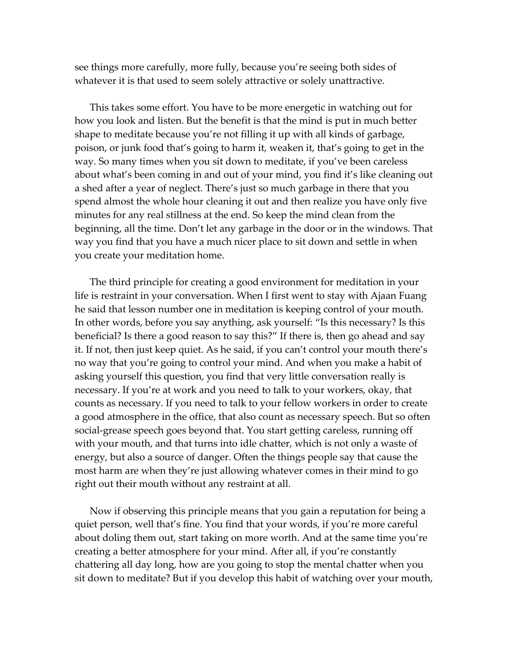see things more carefully, more fully, because you're seeing both sides of whatever it is that used to seem solely attractive or solely unattractive.

This takes some effort. You have to be more energetic in watching out for how you look and listen. But the benefit is that the mind is put in much better shape to meditate because you're not filling it up with all kinds of garbage, poison, or junk food that's going to harm it, weaken it, that's going to get in the way. So many times when you sit down to meditate, if you've been careless about what's been coming in and out of your mind, you find it's like cleaning out a shed after a year of neglect. There's just so much garbage in there that you spend almost the whole hour cleaning it out and then realize you have only five minutes for any real stillness at the end. So keep the mind clean from the beginning, all the time. Don't let any garbage in the door or in the windows. That way you find that you have a much nicer place to sit down and settle in when you create your meditation home.

The third principle for creating a good environment for meditation in your life is restraint in your conversation. When I first went to stay with Ajaan Fuang he said that lesson number one in meditation is keeping control of your mouth. In other words, before you say anything, ask yourself: "Is this necessary? Is this beneficial? Is there a good reason to say this?" If there is, then go ahead and say it. If not, then just keep quiet. As he said, if you can't control your mouth there's no way that you're going to control your mind. And when you make a habit of asking yourself this question, you find that very little conversation really is necessary. If you're at work and you need to talk to your workers, okay, that counts as necessary. If you need to talk to your fellow workers in order to create a good atmosphere in the office, that also count as necessary speech. But so often social-grease speech goes beyond that. You start getting careless, running off with your mouth, and that turns into idle chatter, which is not only a waste of energy, but also a source of danger. Often the things people say that cause the most harm are when they're just allowing whatever comes in their mind to go right out their mouth without any restraint at all.

Now if observing this principle means that you gain a reputation for being a quiet person, well that's fine. You find that your words, if you're more careful about doling them out, start taking on more worth. And at the same time you're creating a better atmosphere for your mind. After all, if you're constantly chattering all day long, how are you going to stop the mental chatter when you sit down to meditate? But if you develop this habit of watching over your mouth,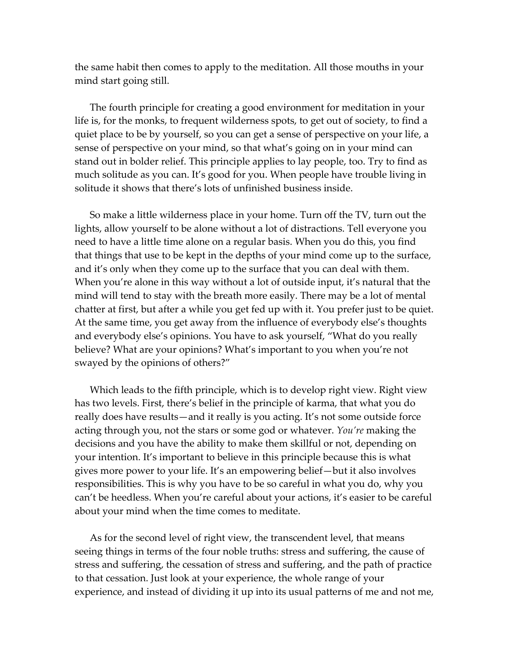the same habit then comes to apply to the meditation. All those mouths in your mind start going still.

The fourth principle for creating a good environment for meditation in your life is, for the monks, to frequent wilderness spots, to get out of society, to find a quiet place to be by yourself, so you can get a sense of perspective on your life, a sense of perspective on your mind, so that what's going on in your mind can stand out in bolder relief. This principle applies to lay people, too. Try to find as much solitude as you can. It's good for you. When people have trouble living in solitude it shows that there's lots of unfinished business inside.

So make a little wilderness place in your home. Turn off the TV, turn out the lights, allow yourself to be alone without a lot of distractions. Tell everyone you need to have a little time alone on a regular basis. When you do this, you find that things that use to be kept in the depths of your mind come up to the surface, and it's only when they come up to the surface that you can deal with them. When you're alone in this way without a lot of outside input, it's natural that the mind will tend to stay with the breath more easily. There may be a lot of mental chatter at first, but after a while you get fed up with it. You prefer just to be quiet. At the same time, you get away from the influence of everybody else's thoughts and everybody else's opinions. You have to ask yourself, "What do you really believe? What are your opinions? What's important to you when you're not swayed by the opinions of others?"

Which leads to the fifth principle, which is to develop right view. Right view has two levels. First, there's belief in the principle of karma, that what you do really does have results—and it really is you acting. It's not some outside force acting through you, not the stars or some god or whatever. *You're* making the decisions and you have the ability to make them skillful or not, depending on your intention. It's important to believe in this principle because this is what gives more power to your life. It's an empowering belief—but it also involves responsibilities. This is why you have to be so careful in what you do, why you can't be heedless. When you're careful about your actions, it's easier to be careful about your mind when the time comes to meditate.

As for the second level of right view, the transcendent level, that means seeing things in terms of the four noble truths: stress and suffering, the cause of stress and suffering, the cessation of stress and suffering, and the path of practice to that cessation. Just look at your experience, the whole range of your experience, and instead of dividing it up into its usual patterns of me and not me,